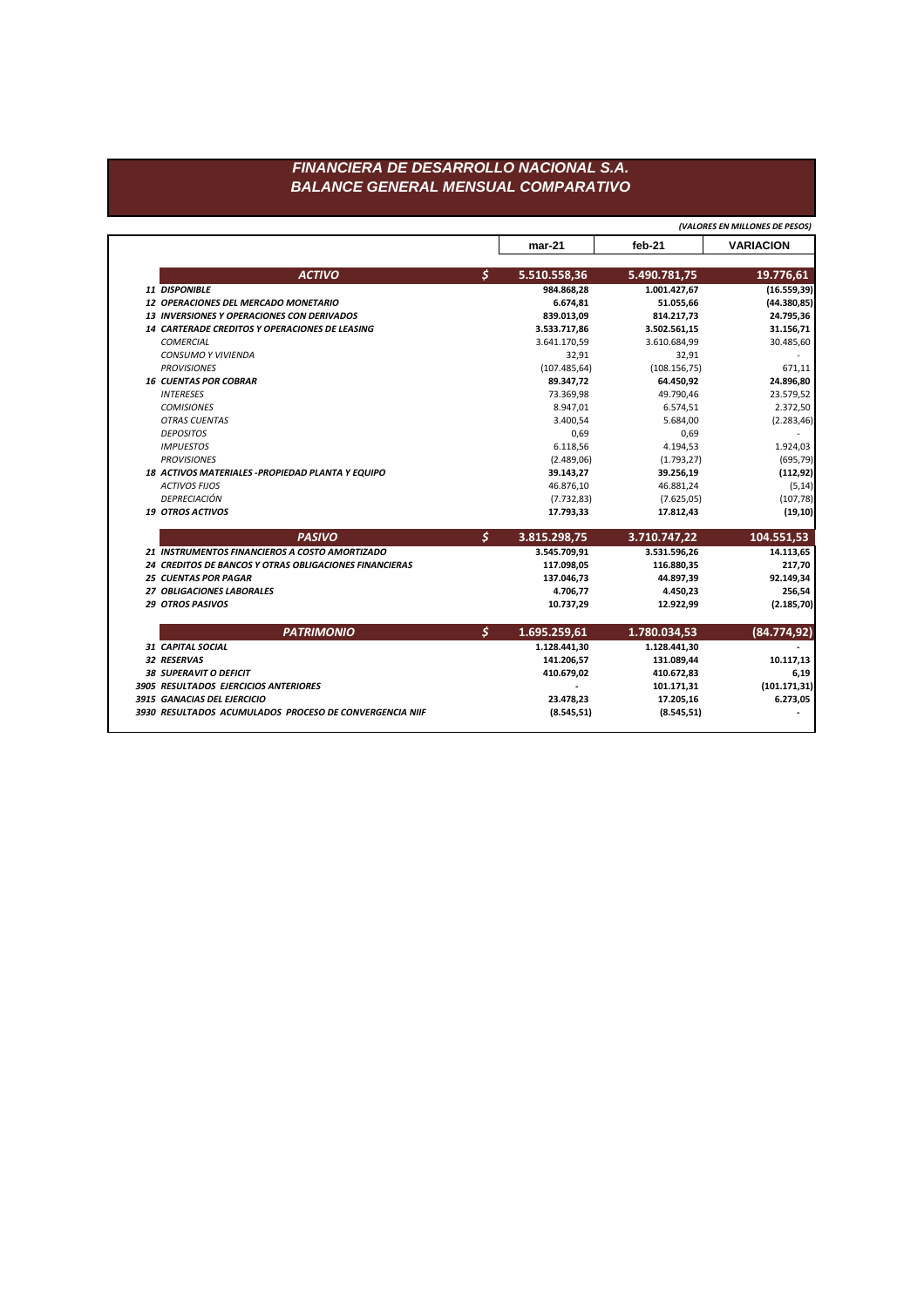|                                                         |               | $mar-21$      | $feb-21$      | <b>VARIACION</b> |
|---------------------------------------------------------|---------------|---------------|---------------|------------------|
| <b>ACTIVO</b>                                           | \$            | 5.510.558,36  | 5.490.781,75  | 19.776,61        |
| 11 DISPONIBLE                                           |               | 984.868,28    | 1.001.427,67  | (16.559, 39)     |
| <b>12 OPERACIONES DEL MERCADO MONETARIO</b>             |               | 6.674,81      | 51.055,66     | (44.380, 85)     |
| <b>13 INVERSIONES Y OPERACIONES CON DERIVADOS</b>       |               | 839.013,09    | 814.217,73    | 24.795,36        |
| 14 CARTERADE CREDITOS Y OPERACIONES DE LEASING          |               | 3.533.717,86  | 3.502.561,15  | 31.156,71        |
| <b>COMERCIAL</b>                                        |               | 3.641.170,59  | 3.610.684,99  | 30.485,60        |
| <b>CONSUMO Y VIVIENDA</b>                               |               | 32,91         | 32,91         |                  |
| <b>PROVISIONES</b>                                      |               | (107.485, 64) | (108.156, 75) | 671,11           |
| <b>16 CUENTAS POR COBRAR</b>                            |               | 89.347,72     | 64.450,92     | 24.896,80        |
| <b>INTERESES</b>                                        |               | 73.369,98     | 49.790,46     | 23.579,52        |
| <b>COMISIONES</b>                                       |               | 8.947,01      | 6.574,51      | 2.372,50         |
| <b>OTRAS CUENTAS</b>                                    |               | 3.400,54      | 5.684,00      | (2.283, 46)      |
| <b>DEPOSITOS</b>                                        |               | 0,69          | 0,69          |                  |
| <b>IMPUESTOS</b>                                        |               | 6.118,56      | 4.194,53      | 1.924,03         |
| <b>PROVISIONES</b>                                      |               | (2.489,06)    | (1.793, 27)   | (695, 79)        |
| 18 ACTIVOS MATERIALES - PROPIEDAD PLANTA Y EQUIPO       |               | 39.143,27     | 39.256,19     | (112, 92)        |
| <b>ACTIVOS FIJOS</b>                                    |               | 46.876,10     | 46.881,24     | (5, 14)          |
| DEPRECIACIÓN                                            |               | (7.732, 83)   | (7.625, 05)   | (107, 78)        |
| <b>19 OTROS ACTIVOS</b>                                 |               | 17.793,33     | 17.812,43     | (19, 10)         |
| <b>PASIVO</b>                                           | $\mathcal{S}$ | 3.815.298,75  | 3.710.747,22  | 104.551,53       |
| 21 INSTRUMENTOS FINANCIEROS A COSTO AMORTIZADO          |               | 3.545.709,91  | 3.531.596,26  | 14.113,65        |
| 24 CREDITOS DE BANCOS Y OTRAS OBLIGACIONES FINANCIERAS  |               | 117.098,05    | 116.880,35    | 217,70           |
| <b>25 CUENTAS POR PAGAR</b>                             |               | 137.046,73    | 44.897,39     | 92.149,34        |
| 27 OBLIGACIONES LABORALES                               |               | 4.706,77      | 4.450,23      | 256,54           |
| <b>29 OTROS PASIVOS</b>                                 |               | 10.737,29     | 12.922,99     | (2.185, 70)      |
| <b>PATRIMONIO</b>                                       | \$            | 1.695.259,61  | 1.780.034,53  | (84.774, 92)     |
| 31 CAPITAL SOCIAL                                       |               | 1.128.441,30  | 1.128.441,30  |                  |
| 32 RESERVAS                                             |               | 141.206,57    | 131.089,44    | 10.117, 13       |
| <b>38 SUPERAVIT O DEFICIT</b>                           |               | 410.679,02    | 410.672,83    | 6,19             |
| 3905 RESULTADOS EJERCICIOS ANTERIORES                   |               |               | 101.171,31    | (101.171, 31)    |
| 3915 GANACIAS DEL EJERCICIO                             |               | 23.478,23     | 17.205,16     | 6.273,05         |
| 3930 RESULTADOS ACUMULADOS PROCESO DE CONVERGENCIA NIIF |               | (8.545, 51)   | (8.545, 51)   |                  |
|                                                         |               |               |               |                  |

*(VALORES EN MILLONES DE PESOS)*

## *FINANCIERA DE DESARROLLO NACIONAL S.A. BALANCE GENERAL MENSUAL COMPARATIVO*